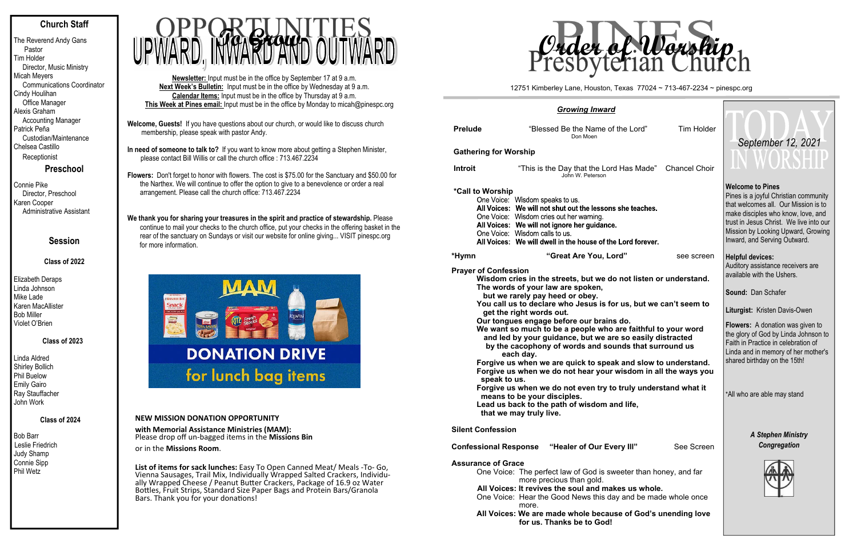# **Church Staff**

The Reverend Andy Gans Pastor Tim Holder Director, Music Ministry Micah Meyers Communications Coordinator Cindy Houlihan Office Manager Alexis Graham Accounting Manager Patrick Peña Custodian/Maintenance Chelsea Castillo Receptionist

## **Preschool**

Connie Pike Director, Preschool Karen Cooper Administrative Assistant

## **Session**

## **Class of 2022**

Elizabeth Deraps Linda Johnson Mike Lade Karen MacAllister Bob Miller Violet O'Brien

### **Class of 2023**

Linda Aldred Shirley Bollich Phil Buelow Emily Gairo Ray Stauffacher John Work

## **Class of 2024**

Bob Barr Leslie Friedrich Judy Shamp Connie Sipp Phil Wetz

We thank you for sharing your treasures in the spirit and practice of stewardship. Please continue to mail your checks to the church office, put your checks in the offering basket in the rear of the sanctuary on Sundays or visit our website for online giving... VISIT pinespc.org for more information.



- **Welcome, Guests!** If you have questions about our church, or would like to discuss church membership, please speak with pastor Andy.
- **In need of someone to talk to?** If you want to know more about getting a Stephen Minister, please contact Bill Willis or call the church office : 713.467.2234

**List of items for sack lunches:** Easy To Open Canned Meat/ Meals ‐To‐ Go, Vienna Sausages, Trail Mix, Individually Wrapped Salted Crackers, Individu‐ ally Wrapped Cheese / Peanut Butter Crackers, Package of 16.9 oz Water Bottles, Fruit Strips, Standard Size Paper Bags and Protein Bars/Granola Bars. Thank you for your donations!

**Flowers:** Don't forget to honor with flowers. The cost is \$75.00 for the Sanctuary and \$50.00 for the Narthex. We will continue to offer the option to give to a benevolence or order a real arrangement. Please call the church office: 713.467.2234

**Newsletter:** Input must be in the office by September 17 at 9 a.m. **Next Week's Bulletin:** Input must be in the office by Wednesday at 9 a.m. **Calendar Items:** Input must be in the office by Thursday at 9 a.m. **This Week at Pines email:** Input must be in the office by Monday to micah@pinespc.org



## **NEW MISSION DONATION OPPORTUNITY**

**with Memorial Assistance Ministries (MAM):** Please drop o ff un‐bagged items in the **Missions Bin**

or in the **Missions Room**.

|                                             | <b>Growing Inward</b>                                                                                                                                                                                                                                                                                                                                                                                                                                                                                                                                                                                                                                                                                                                                                                                  |                                                                                                                                                                                                                                                                                                                                                        |                                                                                                                                                                                                                                                                 |  |
|---------------------------------------------|--------------------------------------------------------------------------------------------------------------------------------------------------------------------------------------------------------------------------------------------------------------------------------------------------------------------------------------------------------------------------------------------------------------------------------------------------------------------------------------------------------------------------------------------------------------------------------------------------------------------------------------------------------------------------------------------------------------------------------------------------------------------------------------------------------|--------------------------------------------------------------------------------------------------------------------------------------------------------------------------------------------------------------------------------------------------------------------------------------------------------------------------------------------------------|-----------------------------------------------------------------------------------------------------------------------------------------------------------------------------------------------------------------------------------------------------------------|--|
| <b>Prelude</b>                              | "Blessed Be the Name of the Lord"<br>Don Moen                                                                                                                                                                                                                                                                                                                                                                                                                                                                                                                                                                                                                                                                                                                                                          | <b>Tim Holder</b>                                                                                                                                                                                                                                                                                                                                      | September 12, 2021                                                                                                                                                                                                                                              |  |
| <b>Gathering for Worship</b>                |                                                                                                                                                                                                                                                                                                                                                                                                                                                                                                                                                                                                                                                                                                                                                                                                        |                                                                                                                                                                                                                                                                                                                                                        |                                                                                                                                                                                                                                                                 |  |
| <b>Introit</b>                              | "This is the Day that the Lord Has Made"<br>John W. Peterson                                                                                                                                                                                                                                                                                                                                                                                                                                                                                                                                                                                                                                                                                                                                           | <b>Chancel Choir</b>                                                                                                                                                                                                                                                                                                                                   | UN WUNDIJU                                                                                                                                                                                                                                                      |  |
| *Call to Worship                            | One Voice: Wisdom speaks to us.<br>All Voices: We will not shut out the lessons she teaches.<br>One Voice: Wisdom cries out her warning.<br>All Voices: We will not ignore her guidance.<br>One Voice: Wisdom calls to us.<br>All Voices: We will dwell in the house of the Lord forever.                                                                                                                                                                                                                                                                                                                                                                                                                                                                                                              |                                                                                                                                                                                                                                                                                                                                                        | <b>Welcome to Pines</b><br>Pines is a joyful Christian community<br>that welcomes all. Our Mission is to<br>make disciples who know, love, and<br>trust in Jesus Christ. We live into our<br>Mission by Looking Upward, Growing<br>Inward, and Serving Outward. |  |
| *Hymn                                       | "Great Are You, Lord"                                                                                                                                                                                                                                                                                                                                                                                                                                                                                                                                                                                                                                                                                                                                                                                  | see screen                                                                                                                                                                                                                                                                                                                                             | <b>Helpful devices:</b>                                                                                                                                                                                                                                         |  |
| <b>Prayer of Confession</b><br>speak to us. | Wisdom cries in the streets, but we do not listen or understand.<br>The words of your law are spoken,<br>but we rarely pay heed or obey.<br>You call us to declare who Jesus is for us, but we can't seem to<br>get the right words out.<br>Our tongues engage before our brains do.<br>We want so much to be a people who are faithful to your word<br>and led by your guidance, but we are so easily distracted<br>by the cacophony of words and sounds that surround us<br>each day.<br>Forgive us when we are quick to speak and slow to understand.<br>Forgive us when we do not hear your wisdom in all the ways you<br>Forgive us when we do not even try to truly understand what it<br>means to be your disciples.<br>Lead us back to the path of wisdom and life,<br>that we may truly live. | Auditory assistance receivers are<br>available with the Ushers.<br>Sound: Dan Schafer<br>Liturgist: Kristen Davis-Owen<br><b>Flowers:</b> A donation was given to<br>the glory of God by Linda Johnson to<br>Faith in Practice in celebration of<br>Linda and in memory of her mother's<br>shared birthday on the 15th!<br>*All who are able may stand |                                                                                                                                                                                                                                                                 |  |
| <b>Silent Confession</b>                    |                                                                                                                                                                                                                                                                                                                                                                                                                                                                                                                                                                                                                                                                                                                                                                                                        | <b>A Stephen Ministry</b>                                                                                                                                                                                                                                                                                                                              |                                                                                                                                                                                                                                                                 |  |
| <b>Confessional Response</b>                | "Healer of Our Every III"                                                                                                                                                                                                                                                                                                                                                                                                                                                                                                                                                                                                                                                                                                                                                                              | Congregation                                                                                                                                                                                                                                                                                                                                           |                                                                                                                                                                                                                                                                 |  |
| <b>Assurance of Grace</b>                   | One Voice: The perfect law of God is sweeter than honey, and far<br>more precious than gold.<br>All Voices: It revives the soul and makes us whole.<br>One Voice: Hear the Good News this day and be made whole once<br>more.<br>All Voices: We are made whole because of God's unending love<br>for us. Thanks be to God!                                                                                                                                                                                                                                                                                                                                                                                                                                                                             |                                                                                                                                                                                                                                                                                                                                                        |                                                                                                                                                                                                                                                                 |  |

12751 Kimberley Lane, Houston, Texas 77024 ~ 713-467-2234 ~ pinespc.org